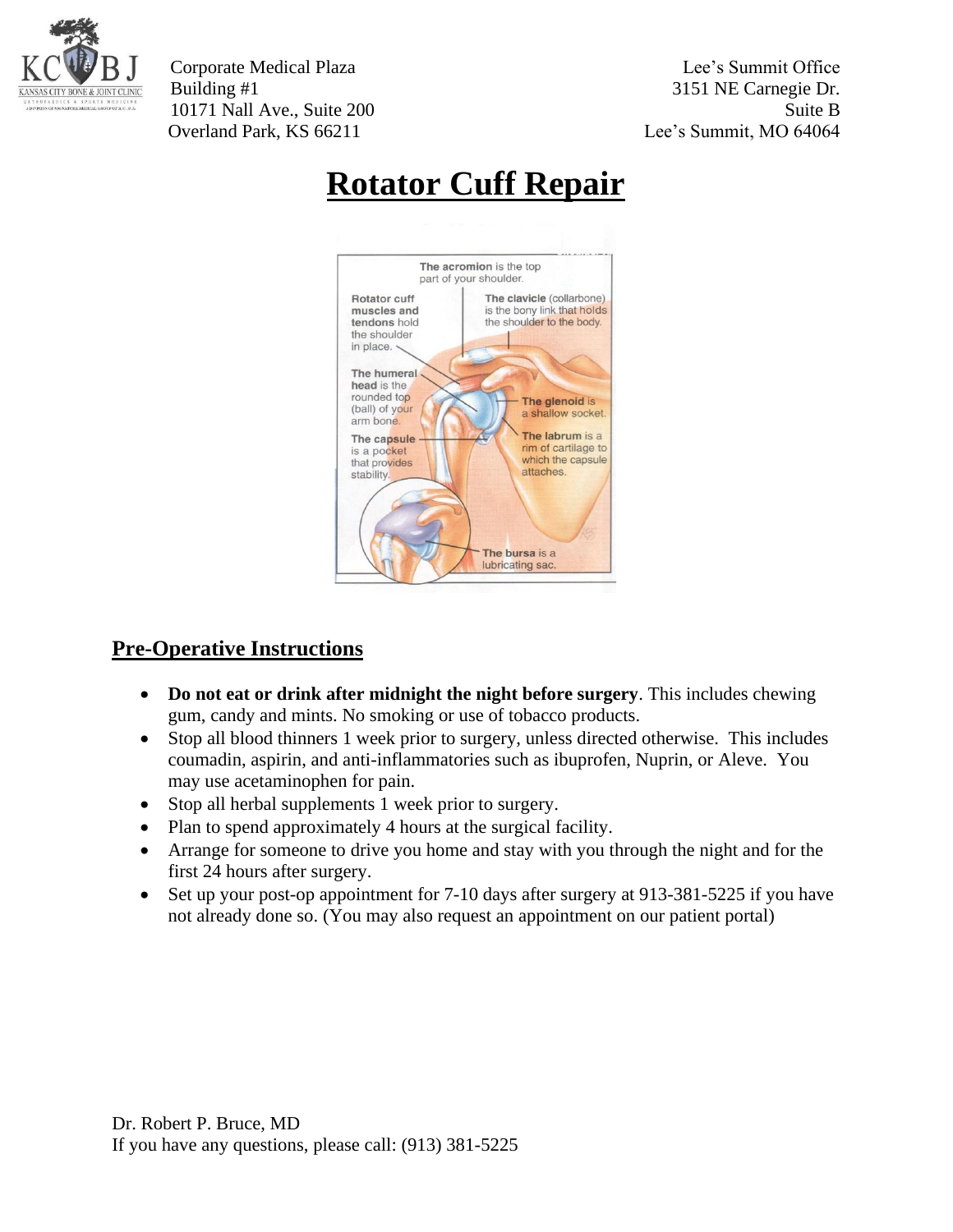

Corporate Medical Plaza Lee's Summit Office Building #1 3151 NE Carnegie Dr. 10171 Nall Ave., Suite 200 Suite B Overland Park, KS 66211 Lee's Summit, MO 64064

## **Rotator Cuff Repair**



## **Pre-Operative Instructions**

- **Do not eat or drink after midnight the night before surgery**. This includes chewing gum, candy and mints. No smoking or use of tobacco products.
- Stop all blood thinners 1 week prior to surgery, unless directed otherwise. This includes coumadin, aspirin, and anti-inflammatories such as ibuprofen, Nuprin, or Aleve. You may use acetaminophen for pain.
- Stop all herbal supplements 1 week prior to surgery.
- Plan to spend approximately 4 hours at the surgical facility.
- Arrange for someone to drive you home and stay with you through the night and for the first 24 hours after surgery.
- Set up your post-op appointment for 7-10 days after surgery at 913-381-5225 if you have not already done so. (You may also request an appointment on our patient portal)